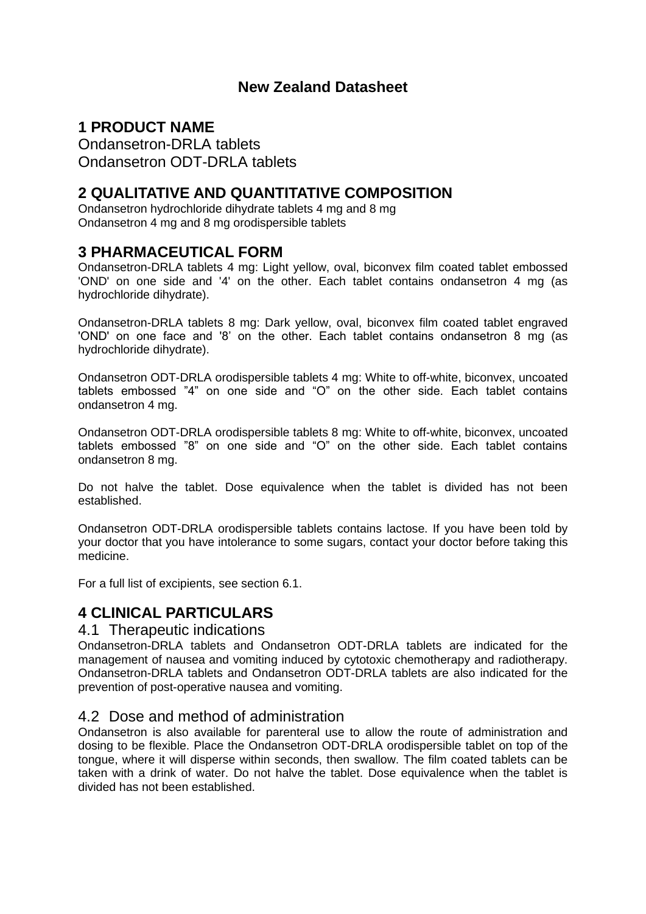# **New Zealand Datasheet**

# **1 PRODUCT NAME**

Ondansetron-DRLA tablets Ondansetron ODT-DRLA tablets

# **2 QUALITATIVE AND QUANTITATIVE COMPOSITION**

Ondansetron hydrochloride dihydrate tablets 4 mg and 8 mg Ondansetron 4 mg and 8 mg orodispersible tablets

# **3 PHARMACEUTICAL FORM**

Ondansetron-DRLA tablets 4 mg: Light yellow, oval, biconvex film coated tablet embossed 'OND' on one side and '4' on the other. Each tablet contains ondansetron 4 mg (as hydrochloride dihydrate).

Ondansetron-DRLA tablets 8 mg: Dark yellow, oval, biconvex film coated tablet engraved 'OND' on one face and '8' on the other. Each tablet contains ondansetron 8 mg (as hydrochloride dihydrate).

Ondansetron ODT-DRLA orodispersible tablets 4 mg: White to off-white, biconvex, uncoated tablets embossed "4" on one side and "O" on the other side. Each tablet contains ondansetron 4 mg.

Ondansetron ODT-DRLA orodispersible tablets 8 mg: White to off-white, biconvex, uncoated tablets embossed "8" on one side and "O" on the other side. Each tablet contains ondansetron 8 mg.

Do not halve the tablet. Dose equivalence when the tablet is divided has not been established.

Ondansetron ODT-DRLA orodispersible tablets contains lactose. If you have been told by your doctor that you have intolerance to some sugars, contact your doctor before taking this medicine.

For a full list of excipients, see section 6.1.

# **4 CLINICAL PARTICULARS**

# 4.1 Therapeutic indications

Ondansetron-DRLA tablets and Ondansetron ODT-DRLA tablets are indicated for the management of nausea and vomiting induced by cytotoxic chemotherapy and radiotherapy. Ondansetron-DRLA tablets and Ondansetron ODT-DRLA tablets are also indicated for the prevention of post-operative nausea and vomiting.

# 4.2 Dose and method of administration

Ondansetron is also available for parenteral use to allow the route of administration and dosing to be flexible. Place the Ondansetron ODT-DRLA orodispersible tablet on top of the tongue, where it will disperse within seconds, then swallow. The film coated tablets can be taken with a drink of water. Do not halve the tablet. Dose equivalence when the tablet is divided has not been established.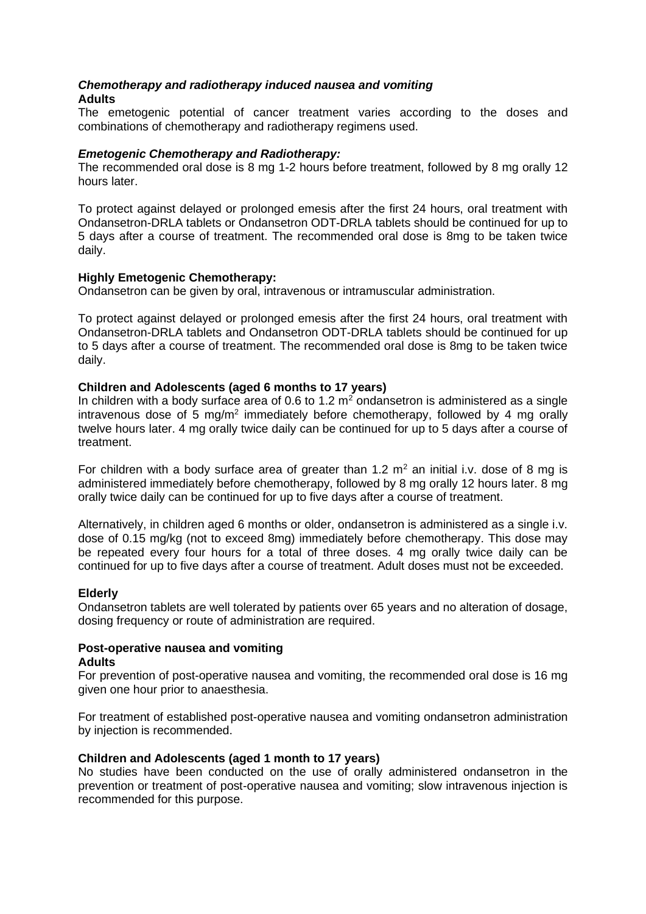#### *Chemotherapy and radiotherapy induced nausea and vomiting* **Adults**

The emetogenic potential of cancer treatment varies according to the doses and combinations of chemotherapy and radiotherapy regimens used.

#### *Emetogenic Chemotherapy and Radiotherapy:*

The recommended oral dose is 8 mg 1-2 hours before treatment, followed by 8 mg orally 12 hours later.

To protect against delayed or prolonged emesis after the first 24 hours, oral treatment with Ondansetron-DRLA tablets or Ondansetron ODT-DRLA tablets should be continued for up to 5 days after a course of treatment. The recommended oral dose is 8mg to be taken twice daily.

#### **Highly Emetogenic Chemotherapy:**

Ondansetron can be given by oral, intravenous or intramuscular administration.

To protect against delayed or prolonged emesis after the first 24 hours, oral treatment with Ondansetron-DRLA tablets and Ondansetron ODT-DRLA tablets should be continued for up to 5 days after a course of treatment. The recommended oral dose is 8mg to be taken twice daily.

#### **Children and Adolescents (aged 6 months to 17 years)**

In children with a body surface area of 0.6 to 1.2  $m^2$  ondansetron is administered as a single intravenous dose of 5 mg/ $m<sup>2</sup>$  immediately before chemotherapy, followed by 4 mg orally twelve hours later. 4 mg orally twice daily can be continued for up to 5 days after a course of treatment.

For children with a body surface area of greater than 1.2  $m<sup>2</sup>$  an initial i.v. dose of 8 mg is administered immediately before chemotherapy, followed by 8 mg orally 12 hours later. 8 mg orally twice daily can be continued for up to five days after a course of treatment.

Alternatively, in children aged 6 months or older, ondansetron is administered as a single i.v. dose of 0.15 mg/kg (not to exceed 8mg) immediately before chemotherapy. This dose may be repeated every four hours for a total of three doses. 4 mg orally twice daily can be continued for up to five days after a course of treatment. Adult doses must not be exceeded.

#### **Elderly**

Ondansetron tablets are well tolerated by patients over 65 years and no alteration of dosage, dosing frequency or route of administration are required.

#### **Post-operative nausea and vomiting Adults**

For prevention of post-operative nausea and vomiting, the recommended oral dose is 16 mg given one hour prior to anaesthesia.

For treatment of established post-operative nausea and vomiting ondansetron administration by injection is recommended.

#### **Children and Adolescents (aged 1 month to 17 years)**

No studies have been conducted on the use of orally administered ondansetron in the prevention or treatment of post-operative nausea and vomiting; slow intravenous injection is recommended for this purpose.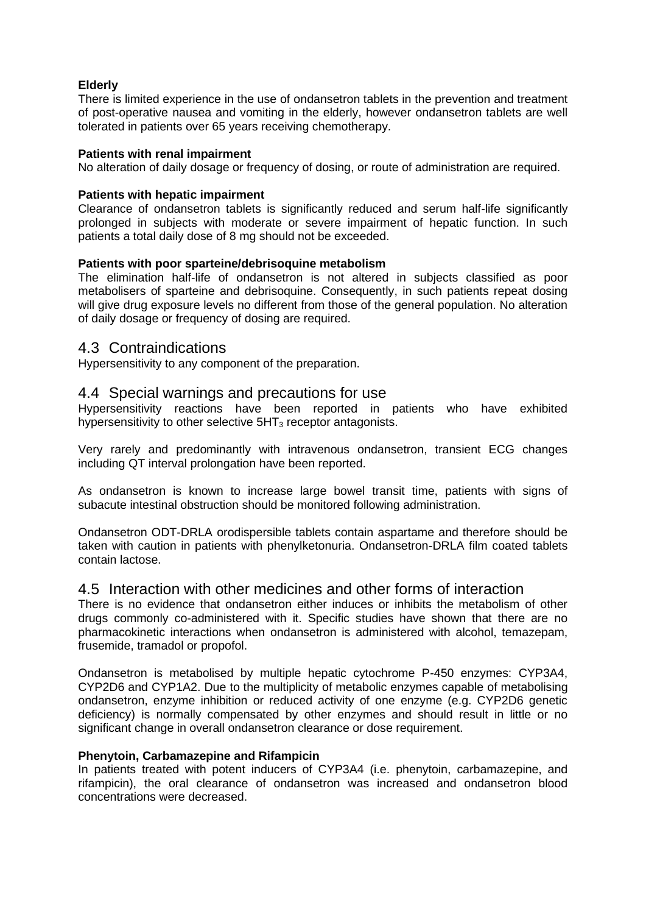#### **Elderly**

There is limited experience in the use of ondansetron tablets in the prevention and treatment of post-operative nausea and vomiting in the elderly, however ondansetron tablets are well tolerated in patients over 65 years receiving chemotherapy.

#### **Patients with renal impairment**

No alteration of daily dosage or frequency of dosing, or route of administration are required.

#### **Patients with hepatic impairment**

Clearance of ondansetron tablets is significantly reduced and serum half-life significantly prolonged in subjects with moderate or severe impairment of hepatic function. In such patients a total daily dose of 8 mg should not be exceeded.

#### **Patients with poor sparteine/debrisoquine metabolism**

The elimination half-life of ondansetron is not altered in subjects classified as poor metabolisers of sparteine and debrisoquine. Consequently, in such patients repeat dosing will give drug exposure levels no different from those of the general population. No alteration of daily dosage or frequency of dosing are required.

### 4.3 Contraindications

Hypersensitivity to any component of the preparation.

### 4.4 Special warnings and precautions for use

Hypersensitivity reactions have been reported in patients who have exhibited hypersensitivity to other selective  $5HT_3$  receptor antagonists.

Very rarely and predominantly with intravenous ondansetron, transient ECG changes including QT interval prolongation have been reported.

As ondansetron is known to increase large bowel transit time, patients with signs of subacute intestinal obstruction should be monitored following administration.

Ondansetron ODT-DRLA orodispersible tablets contain aspartame and therefore should be taken with caution in patients with phenylketonuria. Ondansetron-DRLA film coated tablets contain lactose.

#### 4.5 Interaction with other medicines and other forms of interaction

There is no evidence that ondansetron either induces or inhibits the metabolism of other drugs commonly co-administered with it. Specific studies have shown that there are no pharmacokinetic interactions when ondansetron is administered with alcohol, temazepam, frusemide, tramadol or propofol.

Ondansetron is metabolised by multiple hepatic cytochrome P-450 enzymes: CYP3A4, CYP2D6 and CYP1A2. Due to the multiplicity of metabolic enzymes capable of metabolising ondansetron, enzyme inhibition or reduced activity of one enzyme (e.g. CYP2D6 genetic deficiency) is normally compensated by other enzymes and should result in little or no significant change in overall ondansetron clearance or dose requirement.

#### **Phenytoin, Carbamazepine and Rifampicin**

In patients treated with potent inducers of CYP3A4 (i.e. phenytoin, carbamazepine, and rifampicin), the oral clearance of ondansetron was increased and ondansetron blood concentrations were decreased.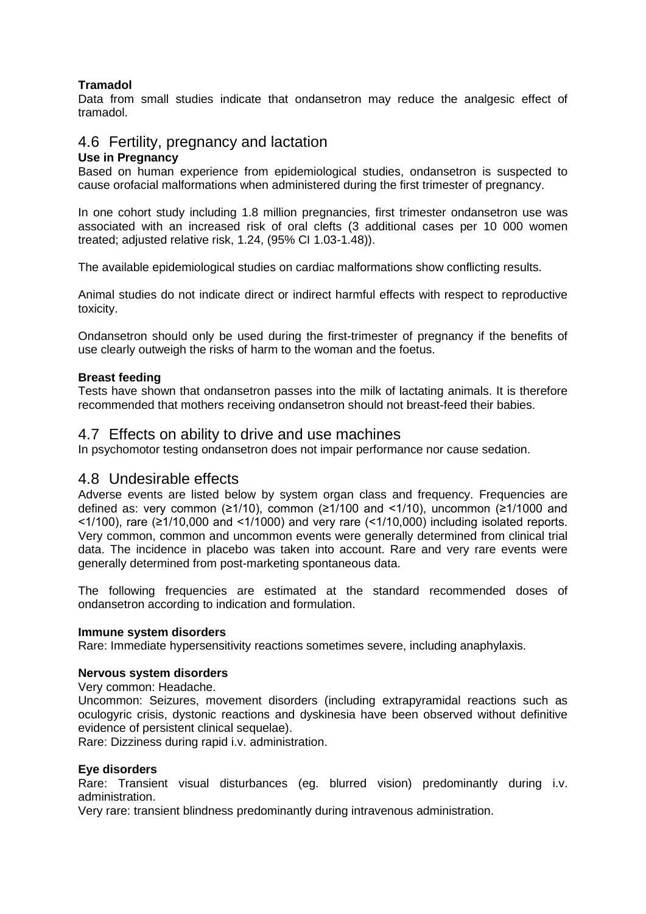### **Tramadol**

Data from small studies indicate that ondansetron may reduce the analgesic effect of tramadol.

# 4.6 Fertility, pregnancy and lactation

#### **Use in Pregnancy**

Based on human experience from epidemiological studies, ondansetron is suspected to cause orofacial malformations when administered during the first trimester of pregnancy.

In one cohort study including 1.8 million pregnancies, first trimester ondansetron use was associated with an increased risk of oral clefts (3 additional cases per 10 000 women treated; adjusted relative risk, 1.24, (95% CI 1.03-1.48)).

The available epidemiological studies on cardiac malformations show conflicting results.

Animal studies do not indicate direct or indirect harmful effects with respect to reproductive toxicity.

Ondansetron should only be used during the first-trimester of pregnancy if the benefits of use clearly outweigh the risks of harm to the woman and the foetus.

#### **Breast feeding**

Tests have shown that ondansetron passes into the milk of lactating animals. It is therefore recommended that mothers receiving ondansetron should not breast-feed their babies.

### 4.7 Effects on ability to drive and use machines

In psychomotor testing ondansetron does not impair performance nor cause sedation.

### 4.8 Undesirable effects

Adverse events are listed below by system organ class and frequency. Frequencies are defined as: very common ( $\geq$ 1/10), common ( $\geq$ 1/100 and <1/10), uncommon ( $\geq$ 1/1000 and <1/100), rare (≥1/10,000 and <1/1000) and very rare (<1/10,000) including isolated reports. Very common, common and uncommon events were generally determined from clinical trial data. The incidence in placebo was taken into account. Rare and very rare events were generally determined from post-marketing spontaneous data.

The following frequencies are estimated at the standard recommended doses of ondansetron according to indication and formulation.

#### **Immune system disorders**

Rare: Immediate hypersensitivity reactions sometimes severe, including anaphylaxis.

#### **Nervous system disorders**

Very common: Headache.

Uncommon: Seizures, movement disorders (including extrapyramidal reactions such as oculogyric crisis, dystonic reactions and dyskinesia have been observed without definitive evidence of persistent clinical sequelae).

Rare: Dizziness during rapid i.v. administration.

#### **Eye disorders**

Rare: Transient visual disturbances (eg. blurred vision) predominantly during i.v. administration.

Very rare: transient blindness predominantly during intravenous administration.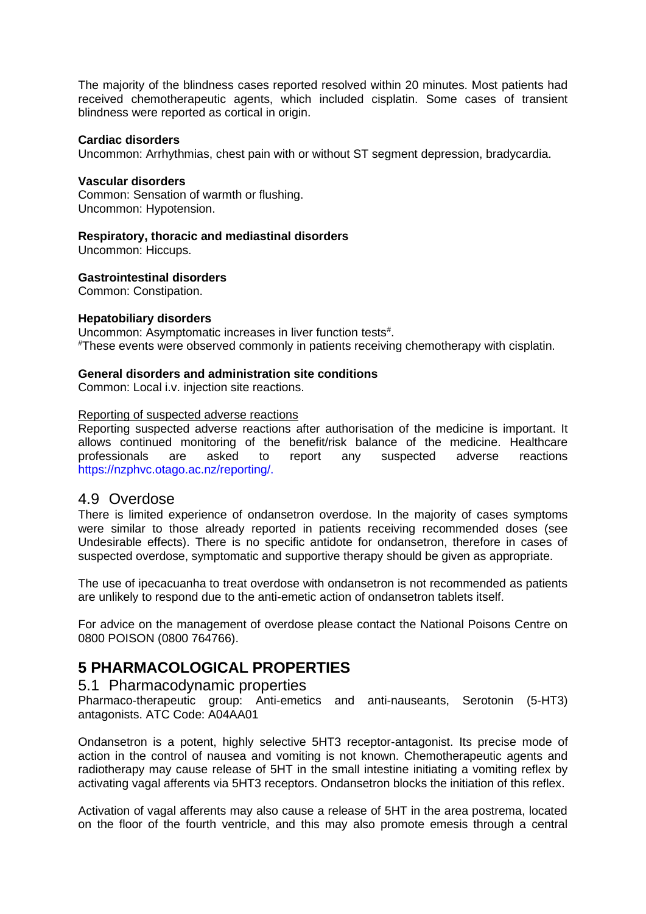The majority of the blindness cases reported resolved within 20 minutes. Most patients had received chemotherapeutic agents, which included cisplatin. Some cases of transient blindness were reported as cortical in origin.

#### **Cardiac disorders**

Uncommon: Arrhythmias, chest pain with or without ST segment depression, bradycardia.

#### **Vascular disorders**

Common: Sensation of warmth or flushing. Uncommon: Hypotension.

#### **Respiratory, thoracic and mediastinal disorders**

Uncommon: Hiccups.

**Gastrointestinal disorders**

Common: Constipation.

#### **Hepatobiliary disorders**

Uncommon: Asymptomatic increases in liver function tests<sup>#</sup>. #These events were observed commonly in patients receiving chemotherapy with cisplatin.

#### **General disorders and administration site conditions**

Common: Local i.v. injection site reactions.

#### Reporting of suspected adverse reactions

Reporting suspected adverse reactions after authorisation of the medicine is important. It allows continued monitoring of the benefit/risk balance of the medicine. Healthcare professionals are asked to report any suspected adverse reactions https://nzphvc.otago.ac.nz/reporting/.

### 4.9 Overdose

There is limited experience of ondansetron overdose. In the majority of cases symptoms were similar to those already reported in patients receiving recommended doses (see Undesirable effects). There is no specific antidote for ondansetron, therefore in cases of suspected overdose, symptomatic and supportive therapy should be given as appropriate.

The use of ipecacuanha to treat overdose with ondansetron is not recommended as patients are unlikely to respond due to the anti-emetic action of ondansetron tablets itself.

For advice on the management of overdose please contact the National Poisons Centre on 0800 POISON (0800 764766).

# **5 PHARMACOLOGICAL PROPERTIES**

### 5.1 Pharmacodynamic properties

Pharmaco-therapeutic group: Anti-emetics and anti-nauseants, Serotonin (5-HT3) antagonists. ATC Code: A04AA01

Ondansetron is a potent, highly selective 5HT3 receptor-antagonist. Its precise mode of action in the control of nausea and vomiting is not known. Chemotherapeutic agents and radiotherapy may cause release of 5HT in the small intestine initiating a vomiting reflex by activating vagal afferents via 5HT3 receptors. Ondansetron blocks the initiation of this reflex.

Activation of vagal afferents may also cause a release of 5HT in the area postrema, located on the floor of the fourth ventricle, and this may also promote emesis through a central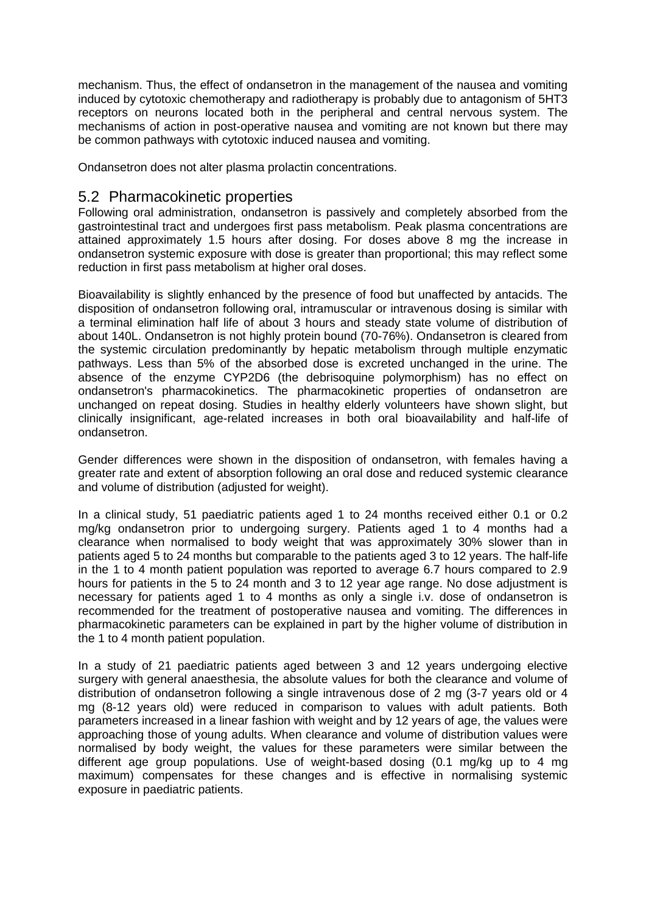mechanism. Thus, the effect of ondansetron in the management of the nausea and vomiting induced by cytotoxic chemotherapy and radiotherapy is probably due to antagonism of 5HT3 receptors on neurons located both in the peripheral and central nervous system. The mechanisms of action in post-operative nausea and vomiting are not known but there may be common pathways with cytotoxic induced nausea and vomiting.

Ondansetron does not alter plasma prolactin concentrations.

# 5.2 Pharmacokinetic properties

Following oral administration, ondansetron is passively and completely absorbed from the gastrointestinal tract and undergoes first pass metabolism. Peak plasma concentrations are attained approximately 1.5 hours after dosing. For doses above 8 mg the increase in ondansetron systemic exposure with dose is greater than proportional; this may reflect some reduction in first pass metabolism at higher oral doses.

Bioavailability is slightly enhanced by the presence of food but unaffected by antacids. The disposition of ondansetron following oral, intramuscular or intravenous dosing is similar with a terminal elimination half life of about 3 hours and steady state volume of distribution of about 140L. Ondansetron is not highly protein bound (70-76%). Ondansetron is cleared from the systemic circulation predominantly by hepatic metabolism through multiple enzymatic pathways. Less than 5% of the absorbed dose is excreted unchanged in the urine. The absence of the enzyme CYP2D6 (the debrisoquine polymorphism) has no effect on ondansetron's pharmacokinetics. The pharmacokinetic properties of ondansetron are unchanged on repeat dosing. Studies in healthy elderly volunteers have shown slight, but clinically insignificant, age-related increases in both oral bioavailability and half-life of ondansetron.

Gender differences were shown in the disposition of ondansetron, with females having a greater rate and extent of absorption following an oral dose and reduced systemic clearance and volume of distribution (adjusted for weight).

In a clinical study, 51 paediatric patients aged 1 to 24 months received either 0.1 or 0.2 mg/kg ondansetron prior to undergoing surgery. Patients aged 1 to 4 months had a clearance when normalised to body weight that was approximately 30% slower than in patients aged 5 to 24 months but comparable to the patients aged 3 to 12 years. The half-life in the 1 to 4 month patient population was reported to average 6.7 hours compared to 2.9 hours for patients in the 5 to 24 month and 3 to 12 year age range. No dose adjustment is necessary for patients aged 1 to 4 months as only a single i.v. dose of ondansetron is recommended for the treatment of postoperative nausea and vomiting. The differences in pharmacokinetic parameters can be explained in part by the higher volume of distribution in the 1 to 4 month patient population.

In a study of 21 paediatric patients aged between 3 and 12 years undergoing elective surgery with general anaesthesia, the absolute values for both the clearance and volume of distribution of ondansetron following a single intravenous dose of 2 mg (3-7 years old or 4 mg (8-12 years old) were reduced in comparison to values with adult patients. Both parameters increased in a linear fashion with weight and by 12 years of age, the values were approaching those of young adults. When clearance and volume of distribution values were normalised by body weight, the values for these parameters were similar between the different age group populations. Use of weight-based dosing (0.1 mg/kg up to 4 mg maximum) compensates for these changes and is effective in normalising systemic exposure in paediatric patients.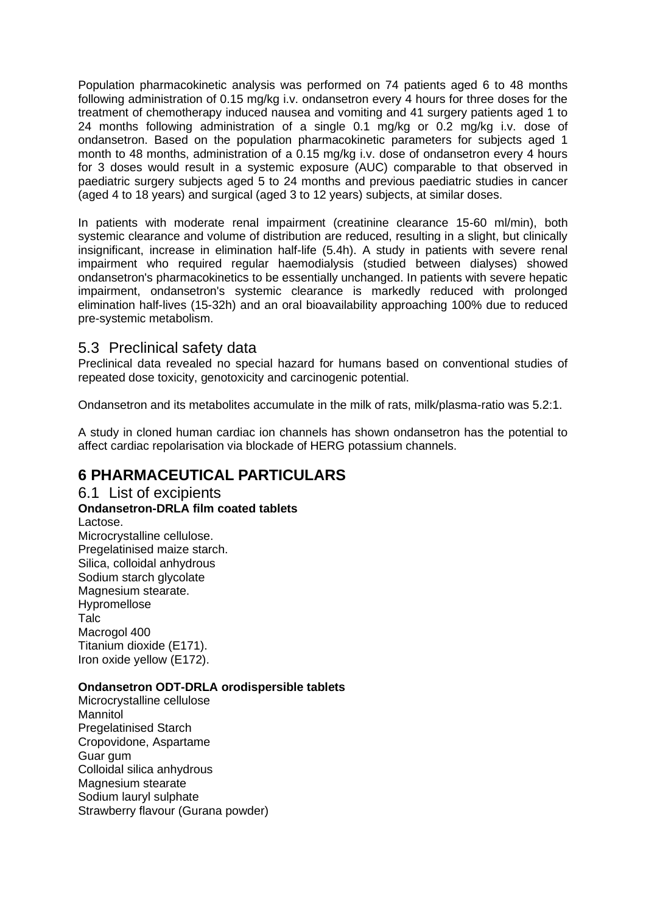Population pharmacokinetic analysis was performed on 74 patients aged 6 to 48 months following administration of 0.15 mg/kg i.v. ondansetron every 4 hours for three doses for the treatment of chemotherapy induced nausea and vomiting and 41 surgery patients aged 1 to 24 months following administration of a single 0.1 mg/kg or 0.2 mg/kg i.v. dose of ondansetron. Based on the population pharmacokinetic parameters for subjects aged 1 month to 48 months, administration of a 0.15 mg/kg i.v. dose of ondansetron every 4 hours for 3 doses would result in a systemic exposure (AUC) comparable to that observed in paediatric surgery subjects aged 5 to 24 months and previous paediatric studies in cancer (aged 4 to 18 years) and surgical (aged 3 to 12 years) subjects, at similar doses.

In patients with moderate renal impairment (creatinine clearance 15-60 ml/min), both systemic clearance and volume of distribution are reduced, resulting in a slight, but clinically insignificant, increase in elimination half-life (5.4h). A study in patients with severe renal impairment who required regular haemodialysis (studied between dialyses) showed ondansetron's pharmacokinetics to be essentially unchanged. In patients with severe hepatic impairment, ondansetron's systemic clearance is markedly reduced with prolonged elimination half-lives (15-32h) and an oral bioavailability approaching 100% due to reduced pre-systemic metabolism.

# 5.3 Preclinical safety data

Preclinical data revealed no special hazard for humans based on conventional studies of repeated dose toxicity, genotoxicity and carcinogenic potential.

Ondansetron and its metabolites accumulate in the milk of rats, milk/plasma-ratio was 5.2:1.

A study in cloned human cardiac ion channels has shown ondansetron has the potential to affect cardiac repolarisation via blockade of HERG potassium channels.

# **6 PHARMACEUTICAL PARTICULARS**

6.1 List of excipients **Ondansetron-DRLA film coated tablets** Lactose. Microcrystalline cellulose. Pregelatinised maize starch. Silica, colloidal anhydrous Sodium starch glycolate Magnesium stearate. Hypromellose Talc Macrogol 400 Titanium dioxide (E171). Iron oxide yellow (E172).

#### **Ondansetron ODT-DRLA orodispersible tablets**

Microcrystalline cellulose **Mannitol** Pregelatinised Starch Cropovidone, Aspartame Guar gum Colloidal silica anhydrous Magnesium stearate Sodium lauryl sulphate Strawberry flavour (Gurana powder)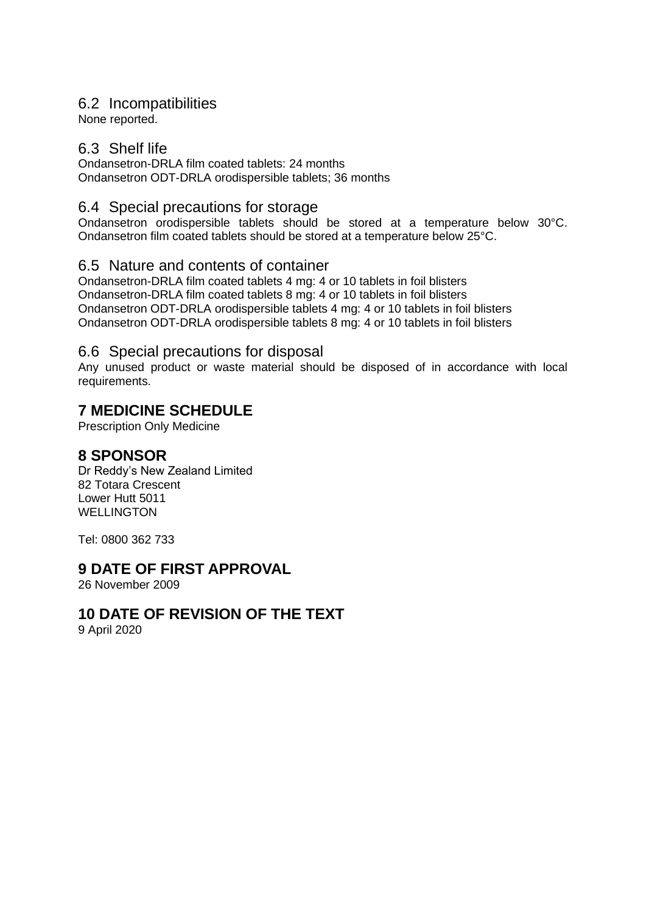### 6.2 Incompatibilities

None reported.

### 6.3 Shelf life

Ondansetron-DRLA film coated tablets: 24 months Ondansetron ODT-DRLA orodispersible tablets; 36 months

# 6.4 Special precautions for storage

Ondansetron orodispersible tablets should be stored at a temperature below 30°C. Ondansetron film coated tablets should be stored at a temperature below 25°C.

### 6.5 Nature and contents of container

Ondansetron-DRLA film coated tablets 4 mg: 4 or 10 tablets in foil blisters Ondansetron-DRLA film coated tablets 8 mg: 4 or 10 tablets in foil blisters Ondansetron ODT-DRLA orodispersible tablets 4 mg: 4 or 10 tablets in foil blisters Ondansetron ODT-DRLA orodispersible tablets 8 mg: 4 or 10 tablets in foil blisters

# 6.6 Special precautions for disposal

Any unused product or waste material should be disposed of in accordance with local requirements.

# **7 MEDICINE SCHEDULE**

Prescription Only Medicine

### **8 SPONSOR**

Dr Reddy's New Zealand Limited 82 Totara Crescent Lower Hutt 5011 WELLINGTON

Tel: 0800 362 733

# **9 DATE OF FIRST APPROVAL**

26 November 2009

# **10 DATE OF REVISION OF THE TEXT**

9 April 2020